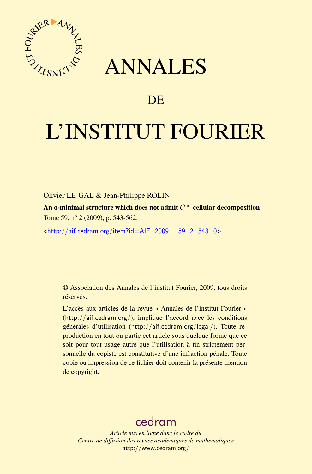

## ANNALES

## **DE**

# L'INSTITUT FOURIER

Olivier LE GAL & Jean-Philippe ROLIN

An o-minimal structure which does not admit  $C^{\infty}$  cellular decomposition Tome 59, nº 2 (2009), p. 543-562.

<[http://aif.cedram.org/item?id=AIF\\_2009\\_\\_59\\_2\\_543\\_0](http://aif.cedram.org/item?id=AIF_2009__59_2_543_0)>

© Association des Annales de l'institut Fourier, 2009, tous droits réservés.

L'accès aux articles de la revue « Annales de l'institut Fourier » (<http://aif.cedram.org/>), implique l'accord avec les conditions générales d'utilisation (<http://aif.cedram.org/legal/>). Toute reproduction en tout ou partie cet article sous quelque forme que ce soit pour tout usage autre que l'utilisation à fin strictement personnelle du copiste est constitutive d'une infraction pénale. Toute copie ou impression de ce fichier doit contenir la présente mention de copyright.

## [cedram](http://www.cedram.org/)

*Article mis en ligne dans le cadre du Centre de diffusion des revues académiques de mathématiques* <http://www.cedram.org/>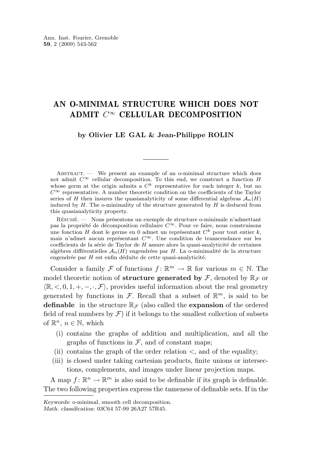### AN O-MINIMAL STRUCTURE WHICH DOES NOT ADMIT  $C^{\infty}$  CELLULAR DECOMPOSITION

#### **by Olivier LE GAL & Jean-Philippe ROLIN**

ABSTRACT. — We present an example of an o-minimal structure which does not admit  $C^{\infty}$  cellular decomposition. To this end, we construct a function H whose germ at the origin admits a  $C^k$  representative for each integer k, but no  $C^{\infty}$  representative. A number theoretic condition on the coefficients of the Taylor series of H then insures the quasianalyticity of some differential algebras  $\mathcal{A}_n(H)$ induced by  $H$ . The o-minimality of the structure generated by  $H$  is deduced from this quasianalyticity property.

Résumé. — Nous présentons un exemple de structure o-minimale n'admettant pas la propriété de décomposition cellulaire  $C^{\infty}$ . Pour ce faire, nous construisons une fonction H dont le germe en 0 admet un représentant  $C<sup>k</sup>$  pour tout entier k, mais n'admet aucun représentant  $C^{\infty}$ . Une condition de transcendance sur les coefficients de la série de Taylor de H assure alors la quasi-analyticité de certaines algèbres différentielles  $\mathcal{A}_n(H)$  engendrées par H. La o-minimalité de la structure engendrée par H est enfin déduite de cette quasi-analyticité.

Consider a family F of functions  $f: \mathbb{R}^m \to \mathbb{R}$  for various  $m \in \mathbb{N}$ . The model theoretic notion of **structure generated by**  $\mathcal{F}$ , denoted by  $\mathbb{R}_{\mathcal{F}}$  or  $\langle \mathbb{R}, \langle 0, 1, +, -, \cdot, \mathcal{F} \rangle$ , provides useful information about the real geometry generated by functions in  $\mathcal{F}$ . Recall that a subset of  $\mathbb{R}^m$ , is said to be **definable** in the structure  $\mathbb{R}_{\mathcal{F}}$  (also called the **expansion** of the ordered field of real numbers by  $\mathcal F$ ) if it belongs to the smallest collection of subsets of  $\mathbb{R}^n$ ,  $n \in \mathbb{N}$ , which

- (i) contains the graphs of addition and multiplication, and all the graphs of functions in  $\mathcal{F}$ , and of constant maps;
- (ii) contains the graph of the order relation  $\lt$ , and of the equality;
- (iii) is closed under taking cartesian products, finite unions or intersections, complements, and images under linear projection maps.

A map  $f: \mathbb{R}^n \to \mathbb{R}^m$  is also said to be definable if its graph is definable. The two following properties express the *tameness* of definable sets. If in the

*Keywords:* o-minimal, smooth cell decomposition.

*Math. classification:* 03C64 57-99 26A27 57R45.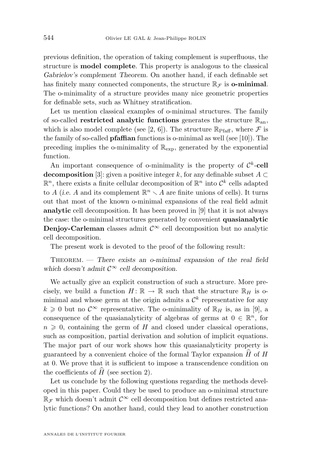previous definition, the operation of taking complement is superfluous, the structure is **model complete**. This property is analogous to the classical *Gabrielov's complement Theorem*. On another hand, if each definable set has finitely many connected components, the structure  $\mathbb{R}_{\mathcal{F}}$  is **o-minimal**. The o-minimality of a structure provides many nice geometric properties for definable sets, such as Whitney stratification.

Let us mention classical examples of o-minimal structures. The family of so-called **restricted analytic functions** generates the structure  $\mathbb{R}_{an}$ , which is also model complete (see [\[2,](#page-20-0) [6\]](#page-20-0)). The structure  $\mathbb{R}_{\text{Pfaff}}$ , where  $\mathcal F$  is the family of so-called **pfaffian** functions is o-minimal as well (see [\[10\]](#page-20-0)). The preceding implies the o-minimality of  $\mathbb{R}_{\text{exp}}$ , generated by the exponential function.

An important consequence of o-minimality is the property of  $\mathcal{C}^k$ -cell **decomposition** [\[3\]](#page-20-0): given a positive integer k, for any definable subset  $A \subset$  $\mathbb{R}^n$ , there exists a finite cellular decomposition of  $\mathbb{R}^n$  into  $\mathcal{C}^k$  cells adapted to A (*i.e.* A and its complement  $\mathbb{R}^n \setminus A$  are finite unions of cells). It turns out that most of the known o-minimal expansions of the real field admit **analytic** cell decomposition. It has been proved in [\[9\]](#page-20-0) that it is not always the case: the o-minimal structures generated by convenient **quasianalytic Denjoy-Carleman** classes admit  $\mathcal{C}^{\infty}$  cell decomposition but no analytic cell decomposition.

The present work is devoted to the proof of the following result:

Theorem. — *There exists an o-minimal expansion of the real field which doesn't admit*  $C^{\infty}$  *cell decomposition.* 

We actually give an explicit construction of such a structure. More precisely, we build a function  $H: \mathbb{R} \to \mathbb{R}$  such that the structure  $\mathbb{R}_H$  is ominimal and whose germ at the origin admits a  $\mathcal{C}^k$  representative for any  $k \geq 0$  but no  $\mathcal{C}^{\infty}$  representative. The o-minimality of  $\mathbb{R}_H$  is, as in [\[9\]](#page-20-0), a consequence of the quasianalyticity of algebras of germs at  $0 \in \mathbb{R}^n$ , for  $n \geq 0$ , containing the germ of H and closed under classical operations, such as composition, partial derivation and solution of implicit equations. The major part of our work shows how this quasianalyticity property is guaranteed by a convenient choice of the formal Taylor expansion  $H$  of  $H$ at 0. We prove that it is sufficient to impose a transcendence condition on the coefficients of  $H$  (see section [2\)](#page-4-0).

Let us conclude by the following questions regarding the methods developed in this paper. Could they be used to produce an o-minimal structure  $\mathbb{R}$ *∓* which doesn't admit  $\mathcal{C}^\infty$  cell decomposition but defines restricted analytic functions? On another hand, could they lead to another construction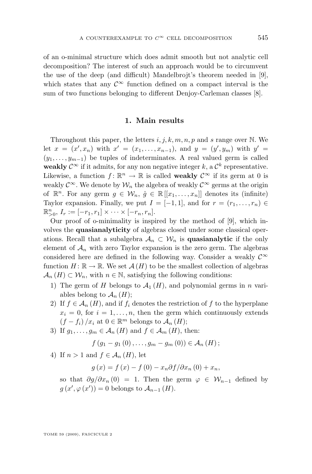<span id="page-3-0"></span>of an o-minimal structure which does admit smooth but not analytic cell decomposition? The interest of such an approach would be to circumvent the use of the deep (and difficult) Mandelbrojt's theorem needed in [\[9\]](#page-20-0), which states that any  $\mathcal{C}^{\infty}$  function defined on a compact interval is the sum of two functions belonging to different Denjoy-Carleman classes [\[8\]](#page-20-0).

#### **1. Main results**

Throughout this paper, the letters  $i, j, k, m, n, p$  and s range over N. We let  $x = (x', x_n)$  with  $x' = (x_1, \ldots, x_{n-1})$ , and  $y = (y', y_m)$  with  $y' =$  $(y_1, \ldots, y_{m-1})$  be tuples of indeterminates. A real valued germ is called weakly  $\mathcal{C}^{\infty}$  if it admits, for any non negative integer k, a  $\mathcal{C}^{k}$  representative. Likewise, a function  $f: \mathbb{R}^n \to \mathbb{R}$  is called **weakly**  $\mathcal{C}^{\infty}$  if its germ at 0 is weakly  $\mathcal{C}^{\infty}$ . We denote by  $\mathcal{W}_n$  the algebra of weakly  $\mathcal{C}^{\infty}$  germs at the origin of  $\mathbb{R}^n$ . For any germ  $g \in \mathcal{W}_n$ ,  $\hat{g} \in \mathbb{R}[[x_1,\ldots,x_n]]$  denotes its (infinite) Taylor expansion. Finally, we put  $I = [-1, 1]$ , and for  $r = (r_1, \ldots, r_n) \in$  $\mathbb{R}_{>0}^n$ ,  $I_r := [-r_1, r_1] \times \cdots \times [-r_n, r_n].$ 

Our proof of o-minimality is inspired by the method of [\[9\]](#page-20-0), which involves the **quasianalyticity** of algebras closed under some classical operations. Recall that a subalgebra  $\mathcal{A}_n \subset \mathcal{W}_n$  is **quasianalytic** if the only element of  $\mathcal{A}_n$  with zero Taylor expansion is the zero germ. The algebras considered here are defined in the following way. Consider a weakly  $\mathcal{C}^{\infty}$ function  $H: \mathbb{R} \to \mathbb{R}$ . We set  $\mathcal{A}(H)$  to be the smallest collection of algebras  $\mathcal{A}_n(H) \subset \mathcal{W}_n$ , with  $n \in \mathbb{N}$ , satisfying the following conditions:

- 1) The germ of H belongs to  $\mathcal{A}_1(H)$ , and polynomial germs in n variables belong to  $\mathcal{A}_n(H)$ ;
- 2) If  $f \in \mathcal{A}_n(H)$ , and if  $f_i$  denotes the restriction of f to the hyperplane  $x_i = 0$ , for  $i = 1, \ldots, n$ , then the germ which continuously extends  $(f - f_i) / x_i$  at  $0 \in \mathbb{R}^m$  belongs to  $\mathcal{A}_n(H)$ ;
- 3) If  $g_1, \ldots, g_m \in A_n(H)$  and  $f \in A_m(H)$ , then:

$$
f(g_1 - g_1(0), \ldots, g_m - g_m(0)) \in \mathcal{A}_n(H);
$$

4) If  $n > 1$  and  $f \in \mathcal{A}_n(H)$ , let

$$
g(x) = f(x) - f(0) - x_n \partial f / \partial x_n (0) + x_n,
$$

so that  $\partial g/\partial x_n(0) = 1$ . Then the germ  $\varphi \in \mathcal{W}_{n-1}$  defined by  $g(x', \varphi(x')) = 0$  belongs to  $\mathcal{A}_{n-1}(H)$ .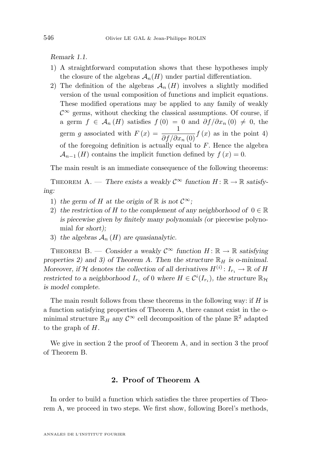<span id="page-4-0"></span>*Remark 1.1.*

- 1) A straightforward computation shows that these hypotheses imply the closure of the algebras  $\mathcal{A}_n(H)$  under partial differentiation.
- 2) The definition of the algebras  $\mathcal{A}_n(H)$  involves a slightly modified version of the usual composition of functions and implicit equations. These modified operations may be applied to any family of weakly  $\mathcal{C}^{\infty}$  germs, without checking the classical assumptions. Of course, if a germ  $f \in \mathcal{A}_n(H)$  satisfies  $f(0) = 0$  and  $\partial f/\partial x_n(0) \neq 0$ , the germ g associated with  $F(x) = \frac{1}{\partial f/\partial x_n(0)} f(x)$  as in the point 4) of the foregoing definition is actually equal to  $F$ . Hence the algebra  $\mathcal{A}_{n-1}(H)$  contains the implicit function defined by  $f(x) = 0$ .

The main result is an immediate consequence of the following theorems:

THEOREM A. — *There exists a weakly*  $C^{\infty}$  *function*  $H: \mathbb{R} \to \mathbb{R}$  *satisfying:*

- 1) the germ of H at the origin of R is not  $\mathcal{C}^{\infty}$ ;
- 2) the restriction of H to the complement of any neighborhood of  $0 \in \mathbb{R}$ *is piecewise given by finitely many polynomials (or* piecewise polynomial *for short);*
- 3) the algebras  $A_n(H)$  are quasianalytic.

THEOREM B. — *Consider a weakly*  $C^{\infty}$  *function*  $H: \mathbb{R} \to \mathbb{R}$  *satisfying* properties 2) and 3) of Theorem A. Then the structure  $\mathbb{R}_H$  is o-minimal. *Moreover, if*  $H$  *denotes the collection of all derivatives*  $H^{(i)}$ :  $I_{r_i} \to \mathbb{R}$  *of*  $H$ *restricted to a neighborhood*  $I_{r_i}$  *of* 0 *where*  $H \in C^{i}(I_{r_i})$ *, the structure*  $\mathbb{R}_{H_i}$ *is model complete.*

The main result follows from these theorems in the following way: if  $H$  is a function satisfying properties of Theorem A, there cannot exist in the ominimal structure  $\mathbb{R}_H$  any  $\mathcal{C}^{\infty}$  cell decomposition of the plane  $\mathbb{R}^2$  adapted to the graph of  $H$ .

We give in section 2 the proof of Theorem A, and in section [3](#page-14-0) the proof of Theorem B.

#### **2. Proof of Theorem A**

In order to build a function which satisfies the three properties of Theorem A, we proceed in two steps. We first show, following Borel's methods,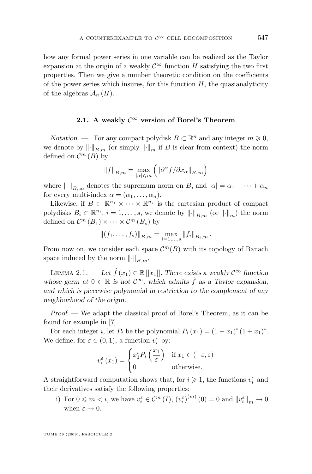<span id="page-5-0"></span>how any formal power series in one variable can be realized as the Taylor expansion at the origin of a weakly  $\mathcal{C}^{\infty}$  function H satisfying the two first properties. Then we give a number theoretic condition on the coefficients of the power series which insures, for this function  $H$ , the quasianalyticity of the algebras  $\mathcal{A}_n(H)$ .

#### **2.1.** A weakly  $\mathcal{C}^{\infty}$  version of Borel's Theorem

*Notation.* — For any compact polydisk  $B \subset \mathbb{R}^n$  and any integer  $m \geqslant 0$ , we denote by  $\lVert \cdot \rVert_{B_m}$  (or simply  $\lVert \cdot \rVert_m$  if B is clear from context) the norm defined on  $\mathcal{C}^m(B)$  by:

$$
||f||_{B,m} = \max_{|\alpha| \leq m} (||\partial^{\alpha} f/\partial x_{\alpha}||_{B,\infty})
$$

where  $\lVert \cdot \rVert_{B_{\infty}}$  denotes the supremum norm on B, and  $|\alpha| = \alpha_1 + \cdots + \alpha_n$ for every multi-index  $\alpha = (\alpha_1, \ldots, \alpha_n)$ .

Likewise, if  $B \subset \mathbb{R}^{n_1} \times \cdots \times \mathbb{R}^{n_s}$  is the cartesian product of compact polydisks  $B_i \subset \mathbb{R}^{n_i}$ ,  $i = 1, ..., s$ , we denote by  $\left\| \cdot \right\|_{B,m}$  (or  $\left\| \cdot \right\|_m$ ) the norm defined on  $\mathcal{C}^m(B_1) \times \cdots \times \mathcal{C}^m(B_s)$  by

$$
||(f_1,\ldots,f_s)||_{B,m}=\max_{i=1,\ldots,s}||f_i||_{B_i,m}.
$$

From now on, we consider each space  $\mathcal{C}^m(B)$  with its topology of Banach space induced by the norm  $\lVert \cdot \rVert_{B,m}$ .

LEMMA 2.1. — Let  $\hat{f}(x_1) \in \mathbb{R}[[x_1]]$ . There exists a weakly  $\mathcal{C}^{\infty}$  function *whose germ at*  $0 \in \mathbb{R}$  *is not*  $\mathcal{C}^{\infty}$ *, which admits*  $\hat{f}$  *as a Taylor expansion, and which is piecewise polynomial in restriction to the complement of any neighborhood of the origin.*

*Proof. —* We adapt the classical proof of Borel's Theorem, as it can be found for example in [\[7\]](#page-20-0).

For each integer *i*, let  $P_i$  be the polynomial  $P_i(x_1) = (1 - x_1)^i (1 + x_1)^i$ . We define, for  $\varepsilon \in (0,1)$ , a function  $v_i^{\varepsilon}$  by:

$$
v_i^{\varepsilon}(x_1) = \begin{cases} x_1^i P_i\left(\frac{x_1}{\varepsilon}\right) & \text{if } x_1 \in (-\varepsilon, \varepsilon) \\ 0 & \text{otherwise.} \end{cases}
$$

A straightforward computation shows that, for  $i\geqslant 1,$  the functions  $v_i^\varepsilon$  and their derivatives satisfy the following properties:

i) For  $0 \leq m < i$ , we have  $v_i^{\varepsilon} \in \mathcal{C}^m (I)$ ,  $(v_i^{\varepsilon})^{(m)} (0) = 0$  and  $||v_i^{\varepsilon}||_m \to 0$ when  $\varepsilon \to 0$ .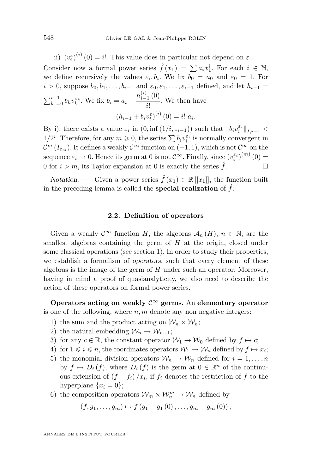<span id="page-6-0"></span>ii)  $(v_i^{\varepsilon})^{(i)}(0) = i!$ . This value does in particular not depend on  $\varepsilon$ . Consider now a formal power series  $\hat{f}(x_1) = \sum a_i x_1^i$ . For each  $i \in \mathbb{N}$ , we define recursively the values  $\varepsilon_i, b_i$ . We fix  $b_0 = a_0$  and  $\varepsilon_0 = 1$ . For  $i > 0$ , suppose  $b_0, b_1, \ldots, b_{i-1}$  and  $\varepsilon_0, \varepsilon_1, \ldots, \varepsilon_{i-1}$  defined, and let  $h_{i-1} =$  $\sum_{k=0}^{i-1} b_k v_k^{\varepsilon_k}$ . We fix  $b_i = a_i - \frac{h_{i-1}^{(i)}(0)}{i!}$  $\frac{1}{i!}$ . We then have  $(h_{i-1} + b_i v_i^{\varepsilon})^{(i)}(0) = i! a_i.$ 

By i), there exists a value  $\varepsilon_i$  in  $(0, \inf(1/i, \varepsilon_{i-1}))$  such that  $||b_i v_i^{\varepsilon_i}||_{I, i-1}$  $1/2^i$ . Therefore, for any  $m \geqslant 0$ , the series  $\sum b_i v_i^{\varepsilon_i}$  is normally convergent in  $\mathcal{C}^m(I_{\varepsilon_m})$ . It defines a weakly  $\mathcal{C}^\infty$  function on  $(-1,1)$ , which is not  $\mathcal{C}^\infty$  on the sequence  $\varepsilon_i \to 0$ . Hence its germ at 0 is not  $\mathcal{C}^{\infty}$ . Finally, since  $(v_i^{\varepsilon_i})^{(m)}(0) =$ 0 for  $i > m$ , its Taylor expansion at 0 is exactly the series  $\hat{f}$ .

*Notation.* — Given a power series  $\hat{f}(x_1) \in \mathbb{R}[[x_1]]$ , the function built in the preceding lemma is called the **special realization** of  $\hat{f}$ .

#### **2.2. Definition of operators**

Given a weakly  $\mathcal{C}^{\infty}$  function H, the algebras  $\mathcal{A}_n(H)$ ,  $n \in \mathbb{N}$ , are the smallest algebras containing the germ of  $H$  at the origin, closed under some classical operations (see section [1\)](#page-3-0). In order to study their properties, we establish a formalism of *operators,* such that every element of these algebras is the image of the germ of  $H$  under such an operator. Moreover, having in mind a proof of quasianalyticity, we also need to describe the action of these operators on formal power series.

**Operators acting on weakly** C<sup>∞</sup> **germs.** An **elementary operator** is one of the following, where  $n, m$  denote any non negative integers:

- 1) the sum and the product acting on  $\mathcal{W}_n \times \mathcal{W}_n$ ;
- 2) the natural embedding  $\mathcal{W}_n \to \mathcal{W}_{n+1}$ ;
- 3) for any  $c \in \mathbb{R}$ , the constant operator  $\mathcal{W}_1 \to \mathcal{W}_0$  defined by  $f \mapsto c$ ;
- 4) for  $1 \leq i \leq n$ , the coordinates operators  $\mathcal{W}_1 \to \mathcal{W}_n$  defined by  $f \mapsto x_i$ ;
- 5) the monomial division operators  $\mathcal{W}_n \to \mathcal{W}_n$  defined for  $i = 1, \ldots, n$ by  $f \mapsto D_i(f)$ , where  $D_i(f)$  is the germ at  $0 \in \mathbb{R}^n$  of the continuous extension of  $(f - f_i)/x_i$ , if  $f_i$  denotes the restriction of f to the hyperplane  $\{x_i = 0\};$
- 6) the composition operators  $\mathcal{W}_m \times \mathcal{W}_n^m \to \mathcal{W}_n$  defined by

$$
(f,g_1,\ldots,g_m)\mapsto f(g_1-g_1(0),\ldots,g_m-g_m(0));
$$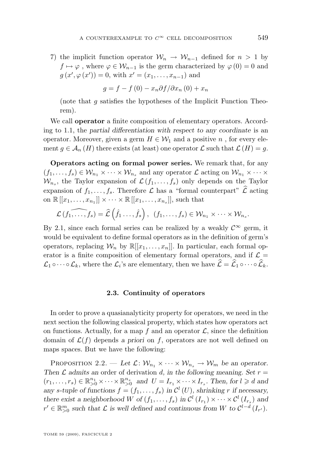<span id="page-7-0"></span>7) the implicit function operator  $W_n \to W_{n-1}$  defined for  $n > 1$  by  $f \mapsto \varphi$ , where  $\varphi \in \mathcal{W}_{n-1}$  is the germ characterized by  $\varphi(0) = 0$  and  $g(x', \varphi(x')) = 0$ , with  $x' = (x_1, \ldots, x_{n-1})$  and

$$
g = f - f(0) - x_n \partial f / \partial x_n(0) + x_n
$$

(note that  $q$  satisfies the hypotheses of the Implicit Function Theorem).

We call **operator** a finite composition of elementary operators. According to [1.1,](#page-4-0) the *partial differentiation with respect to any coordinate* is an operator. Moreover, given a germ  $H \in \mathcal{W}_1$  and a positive n, for every element  $q \in \mathcal{A}_n(H)$  there exists (at least) one operator  $\mathcal L$  such that  $\mathcal L(H) = q$ .

**Operators acting on formal power series.** We remark that, for any  $(f_1, \ldots, f_s) \in \mathcal{W}_{n_1} \times \cdots \times \mathcal{W}_{n_s}$  and any operator  $\mathcal L$  acting on  $\mathcal{W}_{n_1} \times \cdots \times$  $\mathcal{W}_{n_s}$ , the Taylor expansion of  $\mathcal{L}(f_1,\ldots,f_s)$  only depends on the Taylor expansion of  $f_1, \ldots, f_s$ . Therefore  $\mathcal L$  has a "formal counterpart"  $\mathcal L$  acting on  $\mathbb{R}[[x_1,\ldots,x_{n_1}]] \times \cdots \times \mathbb{R}[[x_1,\ldots,x_{n_s}]],$  such that

$$
\widehat{\mathcal{L}(f_1,\ldots,f_s)}=\widehat{\mathcal{L}}\left(\widehat{f}_1\ldots,\widehat{f}_s\right), (f_1,\ldots,f_s)\in\mathcal{W}_{n_1}\times\cdots\times\mathcal{W}_{n_s}.
$$

By [2.1,](#page-5-0) since each formal series can be realized by a weakly  $\mathcal{C}^{\infty}$  germ, it would be equivalent to define formal operators as in the definition of germ's operators, replacing  $\mathcal{W}_n$  by  $\mathbb{R}[[x_1,\ldots,x_n]]$ . In particular, each formal operator is a finite composition of elementary formal operators, and if  $\mathcal{L} =$  $\mathcal{L}_1 \circ \cdots \circ \mathcal{L}_k$ , where the  $\mathcal{L}_i$ 's are elementary, then we have  $\mathcal{L} = \mathcal{L}_1 \circ \cdots \circ \mathcal{L}_k$ .

#### **2.3. Continuity of operators**

In order to prove a quasianalyticity property for operators, we need in the next section the following classical property, which states how operators act on functions. Actually, for a map f and an operator  $\mathcal{L}$ , since the definition domain of  $\mathcal{L}(f)$  depends a priori on f, operators are not well defined on maps spaces. But we have the following:

PROPOSITION 2.2. — Let  $\mathcal{L}: \mathcal{W}_{n_1} \times \cdots \times \mathcal{W}_{n_s} \to \mathcal{W}_m$  be an operator. *Then*  $\mathcal L$  *admits an* order of derivation  $d$ , in the following meaning. Set  $r =$  $(r_1, \ldots, r_s) \in \mathbb{R}^{n_1}_{>0} \times \cdots \times \mathbb{R}^{n_s}_{>0}$  and  $U = I_{r_1} \times \cdots \times I_{r_s}$ . Then, for  $l \geq d$  and any *s*-tuple of functions  $f = (f_1, \ldots, f_s)$  in  $\mathcal{C}^l(U)$ , shrinking r if necessary, *there exist a neighborhood* W of  $(f_1, \ldots, f_s)$  in  $\mathcal{C}^l(I_{r_1}) \times \cdots \times \mathcal{C}^l(I_{r_s})$  and  $r' \in \mathbb{R}_{\geq 0}^m$  such that  $\mathcal L$  is well defined and continuous from W to  $\mathcal C^{l-d}(I_{r'})$ .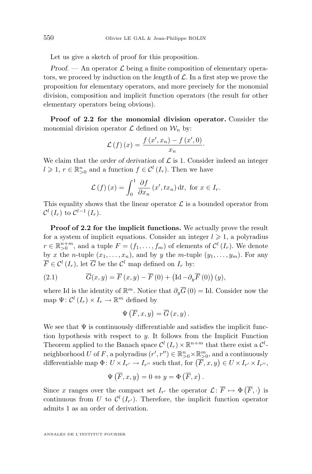Let us give a sketch of proof for this proposition.

*Proof.* — An operator  $\mathcal{L}$  being a finite composition of elementary operators, we proceed by induction on the *length* of L. In a first step we prove the proposition for elementary operators, and more precisely for the monomial division, composition and implicit function operators (the result for other elementary operators being obvious).

**Proof of [2.2](#page-7-0) for the monomial division operator.** Consider the monomial division operator  $\mathcal L$  defined on  $\mathcal W_n$  by:

$$
\mathcal{L}(f)(x) = \frac{f(x', x_n) - f(x', 0)}{x_n}.
$$

We claim that the *order of derivation* of  $\mathcal L$  is 1. Consider indeed an integer  $l \geq 1, r \in \mathbb{R}_{>0}^n$  and a function  $f \in \mathcal{C}^l(I_r)$ . Then we have

$$
\mathcal{L}(f)(x) = \int_0^1 \frac{\partial f}{\partial x_n}(x', tx_n) dt, \text{ for } x \in I_r.
$$

This equality shows that the linear operator  $\mathcal L$  is a bounded operator from  $\mathcal{C}^{l}\left(I_{r}\right)$  to  $\mathcal{C}^{l-1}\left(I_{r}\right)$ .

**Proof of [2.2](#page-7-0) for the implicit functions.** We actually prove the result for a system of implicit equations. Consider an integer  $l \geq 1$ , a polyradius  $r \in \mathbb{R}_{>0}^{n+m}$ , and a tuple  $F = (f_1, \ldots, f_m)$  of elements of  $\mathcal{C}^l(I_r)$ . We denote by x the n-tuple  $(x_1, \ldots, x_n)$ , and by y the m-tuple  $(y_1, \ldots, y_m)$ . For any  $\overline{F} \in \mathcal{C}^l(I_r)$ , let  $\overline{G}$  be the  $\mathcal{C}^l$  map defined on  $I_r$  by:

(2.1) 
$$
\overline{G}(x,y) = \overline{F}(x,y) - \overline{F}(0) + (\text{Id} - \partial_y \overline{F}(0)) (y),
$$

where Id is the identity of  $\mathbb{R}^m$ . Notice that  $\partial_y \overline{G}(0) =$  Id. Consider now the map  $\Psi: \mathcal{C}^l(I_r) \times I_r \to \mathbb{R}^m$  defined by

$$
\Psi\left(\overline{F},x,y\right)=\overline{G}\left(x,y\right).
$$

We see that  $\Psi$  is continuously differentiable and satisfies the implicit function hypothesis with respect to  $y$ . It follows from the Implicit Function Theorem applied to the Banach space  $\mathcal{C}^l(I_r) \times \mathbb{R}^{n+m}$  that there exist a  $\mathcal{C}^l$ neighborhood U of F, a polyradius  $(r', r'') \in \mathbb{R}_{>0}^n \times \mathbb{R}_{>0}^m$ , and a continuously differentiable map  $\Phi: U \times I_{r'} \to I_{r''}$  such that, for  $(\overline{F}, x, y) \in U \times I_{r'} \times I_{r''}$ ,

$$
\Psi\left(\overline{F},x,y\right)=0 \Leftrightarrow y=\Phi\left(\overline{F},x\right).
$$

Since x ranges over the compact set  $I_{r'}$  the operator  $\mathcal{L} \colon \overline{F} \mapsto \Phi(\overline{F},.)$  is continuous from U to  $\mathcal{C}^l(I_{r'})$ . Therefore, the implicit function operator admits 1 as an order of derivation.

ANNALES DE L'INSTITUT FOURIER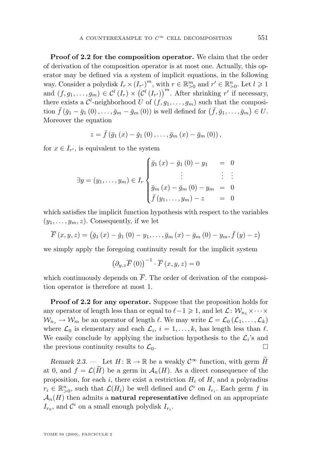**Proof of [2.2](#page-7-0) for the composition operator.** We claim that the order of derivation of the composition operator is at most one. Actually, this operator may be defined via a system of implicit equations, in the following way. Consider a polydisk  $I_r \times (I_{r'})^m$ , with  $r \in \mathbb{R}_{>0}^m$  and  $r' \in \mathbb{R}_{>0}^n$ . Let  $l \geq 1$ and  $(f, g_1, \ldots, g_m) \in C^l(I_r) \times (C^l(I_{r'}))^m$ . After shrinking r' if necessary, there exists a  $\mathcal{C}^l$ -neighborhood U of  $(f, g_1, \ldots, g_m)$  such that the composition  $\bar{f}(\bar{g}_1 - \bar{g}_1(0), \ldots, \bar{g}_m - \bar{g}_m(0))$  is well defined for  $(\bar{f}, \bar{g}_1, \ldots, \bar{g}_m) \in U$ . Moreover the equation

$$
z = \bar{f}(\bar{g}_{1}(x) - \bar{g}_{1}(0), \ldots, \bar{g}_{m}(x) - \bar{g}_{m}(0)),
$$

for  $x \in I_{r'}$ , is equivalent to the system

$$
\exists y = (y_1, \dots, y_m) \in I_r \begin{cases} \bar{g}_1(x) - \bar{g}_1(0) - y_1 & = 0 \\ \vdots & \vdots \\ \bar{g}_m(x) - \bar{g}_m(0) - y_m & = 0 \\ \bar{f}(y_1, \dots, y_m) - z & = 0 \end{cases}
$$

which satisfies the implicit function hypothesis with respect to the variables  $(y_1, \ldots, y_m, z)$ . Consequently, if we let

$$
\overline{F}(x, y, z) = (\bar{g}_1(x) - \bar{g}_1(0) - y_1, \dots, \bar{g}_m(x) - \bar{g}_m(0) - y_m, \bar{f}(y) - z)
$$

we simply apply the foregoing continuity result for the implicit system

$$
\left(\partial_{y,z}\overline{F}\left(0\right)\right)^{-1}\cdot\overline{F}\left(x,y,z\right)=0
$$

which continuously depends on  $\overline{F}$ . The order of derivation of the composition operator is therefore at most 1.

**Proof of [2.2](#page-7-0) for any operator.** Suppose that the proposition holds for any operator of length less than or equal to  $\ell-1 \geq 1$ , and let  $\mathcal{L}: \mathcal{W}_{n_1} \times \cdots \times$  $W_{n_s} \to W_m$  be an operator of length  $\ell$ . We may write  $\mathcal{L} = \mathcal{L}_0 (\mathcal{L}_1, \ldots, \mathcal{L}_k)$ where  $\mathcal{L}_0$  is elementary and each  $\mathcal{L}_i$ ,  $i = 1, \ldots, k$ , has length less than  $\ell$ . We easily conclude by applying the induction hypothesis to the  $\mathcal{L}_i$ 's and the previous continuity results to  $\mathcal{L}_0$ .

*Remark 2.3.* — Let  $H: \mathbb{R} \to \mathbb{R}$  be a weakly  $C^{\infty}$  function, with germ  $H$ at 0, and  $f = \mathcal{L}(\tilde{H})$  be a germ in  $\mathcal{A}_n(H)$ . As a direct consequence of the proposition, for each i, there exist a restriction  $H_i$  of  $H$ , and a polyradius  $r_i \in \mathbb{R}_{>0}^n$ , such that  $\mathcal{L}(H_i)$  be well defined and  $\mathcal{C}^i$  on  $I_{r_i}$ . Each germ f in  $\mathcal{A}_n(H)$  then admits a **natural representative** defined on an appropriate  $I_{r_0}$ , and  $\mathcal{C}^i$  on a small enough polydisk  $I_{r_i}$ .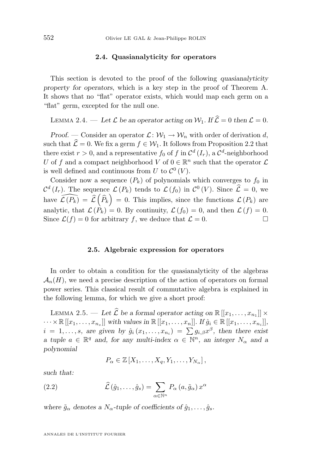#### **2.4. Quasianalyticity for operators**

<span id="page-10-0"></span>This section is devoted to the proof of the following *quasianalyticity property for operators*, which is a key step in the proof of Theorem A. It shows that no "flat" operator exists, which would map each germ on a "flat" germ, excepted for the null one.

LEMMA 2.4. — Let  $\mathcal L$  be an operator acting on  $\mathcal W_1$ . If  $\widehat{\mathcal L} = 0$  then  $\mathcal L = 0$ .

*Proof.* — Consider an operator  $\mathcal{L}: \mathcal{W}_1 \to \mathcal{W}_n$  with order of derivation d, such that  $\hat{\mathcal{L}} = 0$ . We fix a germ  $f \in \mathcal{W}_1$ . It follows from Proposition [2.2](#page-7-0) that there exist  $r > 0$ , and a representative  $f_0$  of  $f$  in  $\mathcal{C}^d(I_r)$ , a  $\mathcal{C}^d$ -neighborhood U of f and a compact neighborhood V of  $0 \in \mathbb{R}^n$  such that the operator  $\mathcal L$ is well defined and continuous from U to  $\mathcal{C}^0(V)$ .

Consider now a sequence  $(P_k)$  of polynomials which converges to  $f_0$  in  $\mathcal{C}^d(I_r)$ . The sequence  $\mathcal{L}(P_k)$  tends to  $\mathcal{L}(f_0)$  in  $\mathcal{C}^0(V)$ . Since  $\mathcal{L} = 0$ , we have  $\widehat{\mathcal{L}(P_k)} = \widehat{\mathcal{L}}(\widehat{P}_k) = 0$ . This implies, since the functions  $\mathcal{L}(P_k)$  are analytic, that  $\mathcal{L}(P_k) = 0$ . By continuity,  $\mathcal{L}(f_0) = 0$ , and then  $\mathcal{L}(f) = 0$ . Since  $\mathcal{L}(f) = 0$  for arbitrary f, we deduce that  $\mathcal{L} = 0$ .

#### **2.5. Algebraic expression for operators**

In order to obtain a condition for the quasianalyticity of the algebras  $\mathcal{A}_n(H)$ , we need a precise description of the action of operators on formal power series. This classical result of commutative algebra is explained in the following lemma, for which we give a short proof:

LEMMA 2.5. — Let  $\hat{\mathcal{L}}$  be a formal operator acting on  $\mathbb{R}[[x_1, \ldots, x_{n_1}]] \times$  $\cdots \times \mathbb{R}[[x_1,\ldots,x_{n_s}]]$  with values in  $\mathbb{R}[[x_1,\ldots,x_n]]$ . If  $\hat{g}_i \in \mathbb{R}[[x_1,\ldots,x_{n_i}]]$ ,  $i = 1, \ldots, s$ , are given by  $\hat{g}_i(x_1, \ldots, x_{n_i}) = \sum g_{i,\beta} x^{\beta}$ , then there exist *a* tuple  $a \in \mathbb{R}^q$  and, for any multi-index  $\alpha \in \mathbb{N}^n$ , an integer  $N_\alpha$  and a *polynomial*

$$
P_{\alpha} \in \mathbb{Z}[X_1, \ldots, X_q, Y_1, \ldots, Y_{N_{\alpha}}],
$$

*such that:*

(2.2) 
$$
\widehat{\mathcal{L}}(\hat{g}_1,\ldots,\hat{g}_s) = \sum_{\alpha \in \mathbb{N}^n} P_{\alpha}(a,\tilde{g}_{\alpha}) x^{\alpha}
$$

where  $\tilde{g}_{\alpha}$  denotes a  $N_{\alpha}$ -tuple of coefficients of  $\hat{g}_1, \ldots, \hat{g}_s$ .

ANNALES DE L'INSTITUT FOURIER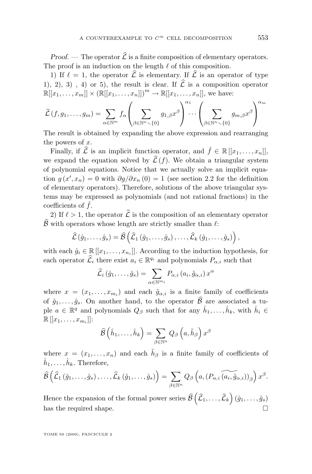*Proof.* — The operator  $\hat{\mathcal{L}}$  is a finite composition of elementary operators. The proof is an induction on the length  $\ell$  of this composition.

1) If  $\ell = 1$ , the operator  $\widehat{\mathcal{L}}$  is elementary. If  $\widehat{\mathcal{L}}$  is an operator of type 1), 2), 3), 4) or 5), the result is clear. If  $\hat{\mathcal{L}}$  is a composition operator  $\mathbb{R}[[x_1, ..., x_m]] \times (\mathbb{R}[[x_1, ..., x_n]])^m \to \mathbb{R}[[x_1, ..., x_n]],$  we have:

<sup>L</sup>b(f, g1, . . . , gm) = <sup>X</sup> α∈N<sup>m</sup> fα X β∈Nnr{0} g1,βx β α<sup>1</sup> · · · X β∈Nnr{0} gm,βx β α<sup>m</sup>

The result is obtained by expanding the above expression and rearranging the powers of  $x$ .

Finally, if  $\hat{\mathcal{L}}$  is an implicit function operator, and  $\hat{f} \in \mathbb{R}[[x_1, \ldots, x_n]]$ , we expand the equation solved by  $\hat{\mathcal{L}}(f)$ . We obtain a triangular system of polynomial equations. Notice that we actually solve an implicit equation  $g(x', x_n) = 0$  with  $\partial g/\partial x_n(0) = 1$  (see section [2.2](#page-6-0) for the definition of elementary operators). Therefore, solutions of the above triangular systems may be expressed as polynomials (and not rational fractions) in the coefficients of  $\hat{f}$ .

2) If  $\ell > 1$ , the operator  $\hat{\mathcal{L}}$  is the composition of an elementary operator  $\widehat{\mathcal{B}}$  with operators whose length are strictly smaller than  $\ell$ :

$$
\widehat{\mathcal{L}}(\hat{g}_1,\ldots,\hat{g}_s)=\widehat{\mathcal{B}}\left(\widehat{\mathcal{L}}_1(\hat{g}_1,\ldots,\hat{g}_s),\ldots,\widehat{\mathcal{L}}_k(\hat{g}_1,\ldots,\hat{g}_s)\right),\,
$$

with each  $\hat{g}_i \in \mathbb{R}[[x_1, \ldots, x_{n_i}]]$ . According to the induction hypothesis, for each operator  $\widehat{\mathcal{L}}_i$  there exist  $a_i \in \mathbb{R}^{q_i}$  and polynomials  $P_{\alpha,i}$  such that

$$
\widehat{\mathcal{L}}_i(\hat{g}_1,\ldots,\hat{g}_s)=\sum_{\alpha\in\mathbb{N}^{m_i}}P_{\alpha,i}\left(a_i,\tilde{g}_{\alpha,i}\right)x^{\alpha}
$$

where  $x = (x_1, \ldots, x_{m_i})$  and each  $\tilde{g}_{\alpha,i}$  is a finite family of coefficients of  $\hat{g}_1, \ldots, \hat{g}_s$ . On another hand, to the operator  $\hat{\mathcal{B}}$  are associated a tuple  $a \in \mathbb{R}^q$  and polynomials  $Q_\beta$  such that for any  $\hat{h}_1, \ldots, \hat{h}_k$ , with  $\hat{h}_i \in$  $\mathbb{R}[[x_1, \ldots, x_{m_i}]]$ :

$$
\widehat{\mathcal{B}}\left(\hat{h}_1,\ldots,\hat{h}_k\right)=\sum_{\beta\in\mathbb{N}^n}Q_\beta\left(a,\tilde{h}_\beta\right)x^\beta
$$

where  $x = (x_1, \ldots, x_n)$  and each  $\tilde{h}_{\beta}$  is a finite family of coefficients of  $\hat{h}_1, \ldots, \hat{h}_k$ . Therefore,

$$
\widehat{\mathcal{B}}\left(\widehat{\mathcal{L}}_1\left(\hat{g}_1,\ldots,\hat{g}_s\right),\ldots,\widehat{\mathcal{L}}_k\left(\hat{g}_1,\ldots,\hat{g}_s\right)\right)=\sum_{\beta\in\mathbb{N}^n}Q_\beta\left(a,(P_{\alpha,i}\widetilde{\left(a_i,\tilde{g}_{\alpha,i}\right)})_\beta\right)x^\beta.
$$

Hence the expansion of the formal power series  $\widehat{\mathcal{B}}\left(\widehat{\mathcal{L}}_1,\ldots,\widehat{\mathcal{L}}_k\right)(\hat{g}_1,\ldots,\hat{g}_s)$ has the required shape.  $\Box$ 

TOME 59 (2009), FASCICULE 2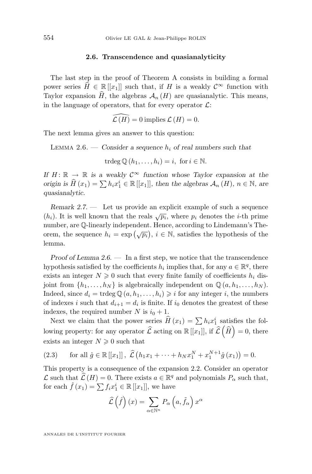#### **2.6. Transcendence and quasianalyticity**

<span id="page-12-0"></span>The last step in the proof of Theorem A consists in building a formal power series  $H \in \mathbb{R}[[x_1]]$  such that, if H is a weakly  $\mathcal{C}^\infty$  function with Taylor expansion  $\widehat{H}$ , the algebras  $\mathcal{A}_n$  (H) are quasianalytic. This means, in the language of operators, that for every operator  $\mathcal{L}$ :

$$
\widehat{\mathcal{L}(H)} = 0
$$
 implies  $\mathcal{L}(H) = 0$ .

The next lemma gives an answer to this question:

LEMMA 2.6. — *Consider a sequence*  $h_i$  *of real numbers such that* 

 $\operatorname{trdeg} \mathbb{O}(h_1, \ldots, h_i) = i, \text{ for } i \in \mathbb{N}.$ 

*If*  $H: \mathbb{R} \to \mathbb{R}$  *is a weakly*  $C^{\infty}$  *function whose Taylor expansion at the origin is*  $\widehat{H}(x_1) = \sum h_i x_1^i \in \mathbb{R}[[x_1]],$  then the algebras  $\mathcal{A}_n(H)$ *,*  $n \in \mathbb{N}$ *, are quasianalytic.*

*Remark 2.7. —* Let us provide an explicit example of such a sequence (h<sub>i</sub>). It is well known that the reals  $\sqrt{p_i}$ , where  $p_i$  denotes the *i*-th prime number, are Q-linearly independent. Hence, according to Lindemann's Theorem, the sequence  $h_i = \exp(\sqrt{p_i}), i \in \mathbb{N}$ , satisfies the hypothesis of the lemma.

*Proof of Lemma 2.6. —* In a first step, we notice that the transcendence hypothesis satisfied by the coefficients  $h_i$  implies that, for any  $a \in \mathbb{R}^q$ , there exists an integer  $N \geq 0$  such that every finite family of coefficients  $h_i$  disjoint from  $\{h_1, \ldots, h_N\}$  is algebraically independent on  $\mathbb{Q}(a, h_1, \ldots, h_N)$ . Indeed, since  $d_i = \text{trdeg} \mathbb{Q}(a, h_1, \ldots, h_i) \geq i$  for any integer i, the numbers of indexes *i* such that  $d_{i+1} = d_i$  is finite. If  $i_0$  denotes the greatest of these indexes, the required number N is  $i_0 + 1$ .

Next we claim that the power series  $\hat{H}(x_1) = \sum h_i x_1^i$  satisfies the following property: for any operator  $\widehat{\mathcal{L}}$  acting on  $\mathbb{R}[[x_1]],$  if  $\widehat{\mathcal{L}}(\widehat{H})=0$ , there exists an integer  $N\geqslant 0$  such that

(2.3) for all 
$$
\hat{g} \in \mathbb{R}[[x_1]]
$$
,  $\hat{\mathcal{L}}(h_1x_1 + \cdots + h_Nx_1^N + x_1^{N+1}\hat{g}(x_1)) = 0$ .

This property is a consequence of the expansion [2.2.](#page-10-0) Consider an operator  $\mathcal{L}$  such that  $\hat{\mathcal{L}}(H) = 0$ . There exists  $a \in \mathbb{R}^q$  and polynomials  $P_\alpha$  such that, for each  $\hat{f}(x_1) = \sum f_i x_1^i \in \mathbb{R}[[x_1]],$  we have

$$
\widehat{\mathcal{L}}\left(\widehat{f}\right)(x) = \sum_{\alpha \in \mathbb{N}^n} P_{\alpha}\left(a, \widetilde{f}_{\alpha}\right) x^{\alpha}
$$

ANNALES DE L'INSTITUT FOURIER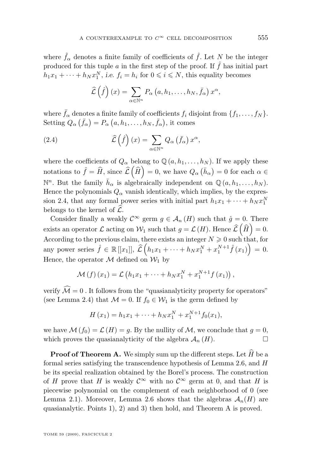where  $\tilde{f}_{\alpha}$  denotes a finite family of coefficients of  $\hat{f}$ . Let N be the integer produced for this tuple a in the first step of the proof. If  $\hat{f}$  has initial part  $h_1x_1 + \cdots + h_Nx_1^N$ , *i.e.*  $f_i = h_i$  for  $0 \leq i \leq N$ , this equality becomes

$$
\widehat{\mathcal{L}}\left(\widehat{f}\right)(x) = \sum_{\alpha \in \mathbb{N}^n} P_{\alpha}\left(a, h_1, \ldots, h_N, \bar{f}_{\alpha}\right) x^{\alpha},
$$

where  $\bar{f}_{\alpha}$  denotes a finite family of coefficients  $f_i$  disjoint from  $\{f_1, \ldots, f_N\}$ . Setting  $Q_{\alpha}(\bar{f}_{\alpha}) = P_{\alpha}(a, h_1, \ldots, h_N, \bar{f}_{\alpha}),$  it comes

(2.4) 
$$
\widehat{\mathcal{L}}\left(\widehat{f}\right)(x) = \sum_{\alpha \in \mathbb{N}^n} Q_{\alpha}\left(\bar{f}_{\alpha}\right)x^{\alpha},
$$

where the coefficients of  $Q_{\alpha}$  belong to  $\mathbb{Q}(a, h_1, \ldots, h_N)$ . If we apply these notations to  $\hat{f} = \hat{H}$ , since  $\hat{\mathcal{L}}\left(\hat{H}\right) = 0$ , we have  $Q_{\alpha}(\bar{h}_{\alpha}) = 0$  for each  $\alpha \in$  $\mathbb{N}^n$ . But the family  $\bar{h}_{\alpha}$  is algebraically independent on  $\mathbb{Q}(a, h_1, \ldots, h_N)$ . Hence the polynomials  $Q_{\alpha}$  vanish identically, which implies, by the expression 2.4, that any formal power series with initial part  $h_1x_1 + \cdots + h_Nx_1^N$ belongs to the kernel of  $\hat{\mathcal{L}}$ .

Consider finally a weakly  $\mathcal{C}^{\infty}$  germ  $g \in \mathcal{A}_n(H)$  such that  $\hat{g} = 0$ . There exists an operator  $\mathcal L$  acting on  $\mathcal W_1$  such that  $g = \mathcal L(H)$ . Hence  $\widehat{\mathcal L}(\widehat H) = 0$ . According to the previous claim, there exists an integer  $N \geqslant 0$  such that, for any power series  $\hat{f} \in \mathbb{R}[[x_1]], \ \hat{\mathcal{L}}\left(h_1x_1 + \cdots + h_Nx_1^N + x_1^{N+1}\hat{f}(x_1)\right) = 0.$ Hence, the operator  $\mathcal M$  defined on  $\mathcal W_1$  by

$$
\mathcal{M}(f)(x_1) = \mathcal{L}(h_1x_1 + \dots + h_Nx_1^N + x_1^{N+1}f(x_1)),
$$

verify  $\mathcal{\hat{M}}=0$ . It follows from the "quasianalyticity property for operators" (see Lemma [2.4\)](#page-10-0) that  $\mathcal{M} = 0$ . If  $f_0 \in \mathcal{W}_1$  is the germ defined by

$$
H(x_1) = h_1 x_1 + \dots + h_N x_1^N + x_1^{N+1} f_0(x_1),
$$

we have  $\mathcal{M}(f_0) = \mathcal{L}(H) = g$ . By the nullity of  $\mathcal{M}$ , we conclude that  $g = 0$ , which proves the quasianalyticity of the algebra  $\mathcal{A}_n(H)$ .

**Proof of Theorem A.** We simply sum up the different steps. Let  $\hat{H}$  be a formal series satisfying the transcendence hypothesis of Lemma [2.6,](#page-12-0) and H be its special realization obtained by the Borel's process. The construction of H prove that H is weakly  $\mathcal{C}^{\infty}$  with no  $\mathcal{C}^{\infty}$  germ at 0, and that H is piecewise polynomial on the complement of each neighborhood of 0 (see Lemma [2.1\)](#page-5-0). Moreover, Lemma [2.6](#page-12-0) shows that the algebras  $\mathcal{A}_n(H)$  are quasianalytic. Points 1), 2) and 3) then hold, and Theorem A is proved.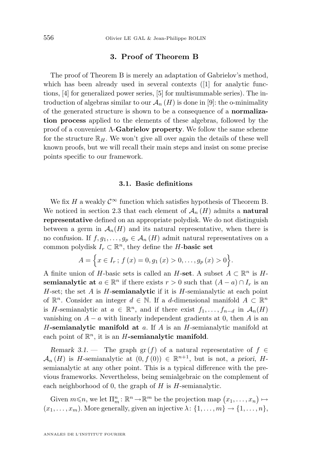#### **3. Proof of Theorem B**

<span id="page-14-0"></span>The proof of Theorem B is merely an adaptation of Gabrielov's method, which has been already used in several contexts (1) for analytic functions, [\[4\]](#page-20-0) for generalized power series, [\[5\]](#page-20-0) for multisummable series). The introduction of algebras similar to our  $\mathcal{A}_n(H)$  is done in [\[9\]](#page-20-0): the o-minimality of the generated structure is shown to be a consequence of a **normalization process** applied to the elements of these algebras, followed by the proof of a convenient Λ-**Gabrielov property**. We follow the same scheme for the structure  $\mathbb{R}_H$ . We won't give all over again the details of these well known proofs, but we will recall their main steps and insist on some precise points specific to our framework.

#### **3.1. Basic definitions**

We fix H a weakly  $\mathcal{C}^{\infty}$  function which satisfies hypothesis of Theorem B. We noticed in section [2.3](#page-7-0) that each element of  $\mathcal{A}_n(H)$  admits a **natural representative** defined on an appropriate polydisk. We do not distinguish between a germ in  $\mathcal{A}_n(H)$  and its natural representative, when there is no confusion. If  $f, g_1, \ldots, g_p \in A_n(H)$  admit natural representatives on a common polydisk  $I_r \subset \mathbb{R}^n$ , they define the H-**basic set** 

$$
A = \left\{ x \in I_r ; f(x) = 0, g_1(x) > 0, \ldots, g_p(x) > 0 \right\}.
$$

A finite union of H-basic sets is called an H-set. A subset  $A \subset \mathbb{R}^n$  is H**semianalytic at**  $a \in \mathbb{R}^n$  if there exists  $r > 0$  such that  $(A - a) \cap I_r$  is an H-set; the set A is H-**semianalytic** if it is H-semianalytic at each point of  $\mathbb{R}^n$ . Consider an integer  $d \in \mathbb{N}$ . If a d-dimensional manifold  $A \subset \mathbb{R}^n$ is H-semianalytic at  $a \in \mathbb{R}^n$ , and if there exist  $f_1, \ldots, f_{n-d}$  in  $\mathcal{A}_n(H)$ vanishing on  $A - a$  with linearly independent gradients at 0, then A is an H**-semianalytic manifold at** a. If A is an H-semianalytic manifold at each point of  $\mathbb{R}^n$ , it is an  $H$ -semianalytic manifold.

*Remark 3.1.* — The graph gr(f) of a natural representative of  $f \in$  $\mathcal{A}_n(H)$  is H-semianalytic at  $(0, f(0)) \in \mathbb{R}^{n+1}$ , but is not, *a priori*, Hsemianalytic at any other point. This is a typical difference with the previous frameworks. Nevertheless, being semialgebraic on the complement of each neighborhood of 0, the graph of  $H$  is  $H$ -semianalytic.

Given  $m \le n$ , we let  $\Pi_m^n : \mathbb{R}^n \to \mathbb{R}^m$  be the projection map  $(x_1, \ldots, x_n) \mapsto$  $(x_1, \ldots, x_m)$ . More generally, given an injective  $\lambda: \{1, \ldots, m\} \to \{1, \ldots, n\}$ ,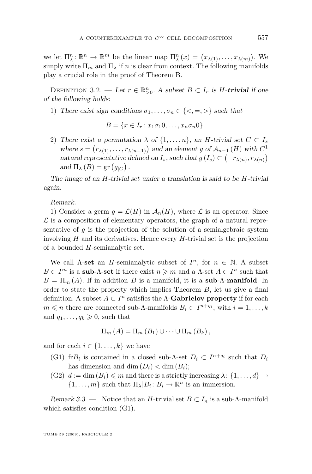<span id="page-15-0"></span>we let  $\Pi_{\lambda}^{n} \colon \mathbb{R}^{n} \to \mathbb{R}^{m}$  be the linear map  $\Pi_{\lambda}^{n}(x) = (x_{\lambda(1)}, \ldots, x_{\lambda(m)})$ . We simply write  $\Pi_m$  and  $\Pi_{\lambda}$  if n is clear from context. The following manifolds play a crucial role in the proof of Theorem B.

DEFINITION 3.2. — Let  $r \in \mathbb{R}_{>0}^n$ . A subset  $B \subset I_r$  is H-**trivial** if one *of the following holds:*

1) There exist sign conditions  $\sigma_1, \ldots, \sigma_n \in \{<, =, >\}$  such that

$$
B = \{x \in I_r : x_1 \sigma_1 0, \ldots, x_n \sigma_n 0\}.
$$

2) There exist a permutation  $\lambda$  of  $\{1, \ldots, n\}$ , an H-trivial set  $C \subset I_s$ where  $s = (r_{\lambda(1)}, \ldots, r_{\lambda(n-1)})$  and an element g of  $\mathcal{A}_{n-1}(H)$  with  $C^1$ *natural representative defined on*  $I_s$ , such that  $g(I_s) \subset (-r_{\lambda(n)}, r_{\lambda(n)})$ and  $\Pi_{\lambda}(B) = \text{gr}(g_{|C})$ .

*The image of an* H*-trivial set under a translation is said to be* H*-trivial again.*

*Remark.*

1) Consider a germ  $g = \mathcal{L}(H)$  in  $\mathcal{A}_n(H)$ , where  $\mathcal L$  is an operator. Since  $\mathcal L$  is a composition of elementary operators, the graph of a natural representative of g is the projection of the solution of a semialgebraic system involving  $H$  and its derivatives. Hence every  $H$ -trivial set is the projection of a bounded H-semianalytic set.

We call  $\Lambda$ -set an *H*-semianalytic subset of  $I^n$ , for  $n \in \mathbb{N}$ . A subset  $B \subset I^m$  is a **sub-** $\Lambda$ -**set** if there exist  $n \geq m$  and a  $\Lambda$ -set  $A \subset I^n$  such that  $B = \Pi_m(A)$ . If in addition B is a manifold, it is a **sub-**Λ-**manifold**. In order to state the property which implies Theorem  $B$ , let us give a final definition. A subset  $A \subset I^n$  satisfies the  $\Lambda$ -**Gabrielov property** if for each  $m \leq n$  there are connected sub- $\Lambda$ -manifolds  $B_i \subset I^{n+q_i}$ , with  $i = 1, ..., k$ and  $q_1, \ldots, q_k \geq 0$ , such that

$$
\Pi_m(A) = \Pi_m(B_1) \cup \cdots \cup \Pi_m(B_k),
$$

and for each  $i \in \{1, \ldots, k\}$  we have

- (G1) fr $B_i$  is contained in a closed sub- $\Lambda$ -set  $D_i \subset I^{n+q_i}$  such that  $D_i$ has dimension and dim  $(D_i) < \dim(B_i);$
- (G2)  $d := \dim(B_i) \leq m$  and there is a strictly increasing  $\lambda: \{1, \ldots, d\} \to$  $\{1,\ldots,m\}$  such that  $\Pi_{\lambda}|B_i:B_i\to\mathbb{R}^n$  is an immersion.

*Remark 3.3.* — Notice that an *H*-trivial set  $B \subset I_n$  is a sub- $\Lambda$ -manifold which satisfies condition (G1).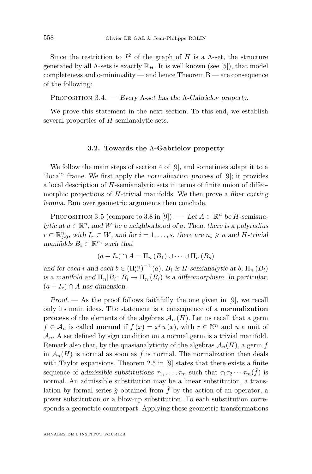<span id="page-16-0"></span>Since the restriction to  $I^2$  of the graph of H is a  $\Lambda$ -set, the structure generated by all  $\Lambda$ -sets is exactly  $\mathbb{R}_H$ . It is well known (see [\[5\]](#page-20-0)), that model completeness and o-minimality — and hence Theorem B — are consequence of the following:

Proposition 3.4. — *Every* Λ*-set has the* Λ*-Gabrielov property.*

We prove this statement in the next section. To this end, we establish several properties of H-semianalytic sets.

#### **3.2. Towards the** Λ**-Gabrielov property**

We follow the main steps of section 4 of [\[9\]](#page-20-0), and sometimes adapt it to a "local" frame. We first apply the *normalization process* of [\[9\]](#page-20-0); it provides a local description of H-semianalytic sets in terms of finite union of diffeomorphic projections of H-trivial manifolds. We then prove a *fiber cutting lemma*. Run over geometric arguments then conclude.

PROPOSITION 3.5 (compare to 3.8 in [\[9\]](#page-20-0)). — Let  $A \subset \mathbb{R}^n$  be H-semiana*lytic at*  $a \in \mathbb{R}^n$ , and W be a neighborhood of a. Then, there is a polyradius  $r$  ⊂  $\mathbb{R}_{>0}^n$ , with  $I_r$  ⊂ W, and for  $i = 1, \ldots, s$ , there are  $n_i \geq n$  and H-trivial *manifolds*  $B_i \subset \mathbb{R}^{n_i}$  *such that* 

$$
(a+I_r) \cap A = \Pi_n(B_1) \cup \cdots \cup \Pi_n(B_s)
$$

and for each i and each  $b \in (\Pi_n^{n_i})^{-1}(a)$ ,  $B_i$  is *H*-semianalytic at b,  $\Pi_n(B_i)$ *is a manifold and*  $\Pi_n | B_i : B_i \to \Pi_n (B_i)$  *is a diffeomorphism. In particular,*  $(a + I_r) \cap A$  has dimension.

*Proof. —* As the proof follows faithfully the one given in [\[9\]](#page-20-0), we recall only its main ideas. The statement is a consequence of a **normalization process** of the elements of the algebras  $\mathcal{A}_n(H)$ . Let us recall that a germ  $f \in \mathcal{A}_n$  is called **normal** if  $f(x) = x^r u(x)$ , with  $r \in \mathbb{N}^n$  and u a unit of  $A_n$ . A set defined by sign condition on a normal germ is a trivial manifold. Remark also that, by the quasianalyticity of the algebras  $\mathcal{A}_n(H)$ , a germ f in  $\mathcal{A}_n(H)$  is normal as soon as  $\hat{f}$  is normal. The normalization then deals with Taylor expansions. Theorem 2.5 in [\[9\]](#page-20-0) states that there exists a finite sequence of *admissible substitutions*  $\tau_1, \ldots, \tau_m$  such that  $\tau_1 \tau_2 \cdots \tau_m(\hat{f})$  is normal. An admissible substitution may be a linear substitution, a translation by formal series  $\hat{g}$  obtained from  $\hat{f}$  by the action of an operator, a power substitution or a blow-up substitution. To each substitution corresponds a geometric counterpart. Applying these geometric transformations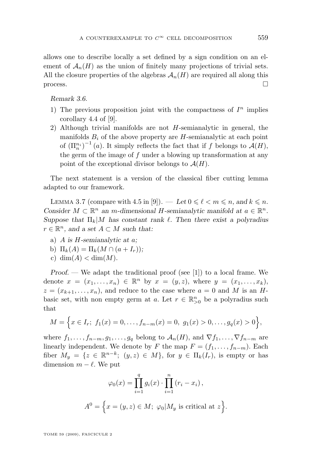<span id="page-17-0"></span>allows one to describe locally a set defined by a sign condition on an element of  $\mathcal{A}_n(H)$  as the union of finitely many projections of trivial sets. All the closure properties of the algebras  $A_n(H)$  are required all along this  $\Box$ 

*Remark 3.6.*

- 1) The previous proposition joint with the compactness of  $I<sup>n</sup>$  implies corollary 4.4 of [\[9\]](#page-20-0).
- 2) Although trivial manifolds are not  $H$ -semianalytic in general, the manifolds  $B_i$  of the above property are H-semianalytic at each point of  $(\Pi_{n}^{n_i})^{-1}(a)$ . It simply reflects the fact that if f belongs to  $\mathcal{A}(H)$ , the germ of the image of  $f$  under a blowing up transformation at any point of the exceptional divisor belongs to  $\mathcal{A}(H)$ .

The next statement is a version of the classical fiber cutting lemma adapted to our framework.

LEMMA 3.7 (compare with 4.5 in [\[9\]](#page-20-0)). — Let  $0 \leq \ell < m \leq n$ , and  $k \leq n$ . *Consider*  $M \subset \mathbb{R}^n$  *an m*-dimensional *H*-semianalytic manifold at  $a \in \mathbb{R}^n$ . *Suppose that*  $\Pi_k|M$  *has constant rank*  $\ell$ . Then there exist a polyradius  $r \in \mathbb{R}^n$ , and a set  $A \subset M$  such that:

- a) A *is* H*-semianalytic at* a*;*
- b)  $\Pi_k(A) = \Pi_k(M \cap (a + I_r));$
- c) dim $(A)$  < dim $(M)$ .

*Proof.* — We adapt the traditional proof (see [\[1\]](#page-20-0)) to a local frame. We denote  $x = (x_1, ..., x_n) \in \mathbb{R}^n$  by  $x = (y, z)$ , where  $y = (x_1, ..., x_k)$ ,  $z = (x_{k+1}, \ldots, x_n)$ , and reduce to the case where  $a = 0$  and M is an Hbasic set, with non empty germ at a. Let  $r \in \mathbb{R}_{>0}^n$  be a polyradius such that

$$
M = \left\{ x \in I_r; \ f_1(x) = 0, \dots, f_{n-m}(x) = 0, \ g_1(x) > 0, \dots, g_q(x) > 0 \right\},\
$$

where  $f_1, \ldots, f_{n-m}, g_1, \ldots, g_q$  belong to  $\mathcal{A}_n(H)$ , and  $\nabla f_1, \ldots, \nabla f_{n-m}$  are linearly independent. We denote by F the map  $F = (f_1, \ldots, f_{n-m})$ . Each fiber  $M_y = \{z \in \mathbb{R}^{n-k}; (y, z) \in M\}$ , for  $y \in \Pi_k(I_r)$ , is empty or has dimension  $m - \ell$ . We put

$$
\varphi_0(x) = \prod_{i=1}^q g_i(x) \cdot \prod_{i=1}^n (r_i - x_i),
$$
  

$$
A^0 = \left\{ x = (y, z) \in M; \ \varphi_0 | M_y \text{ is critical at } z \right\}.
$$

TOME 59 (2009), FASCICULE 2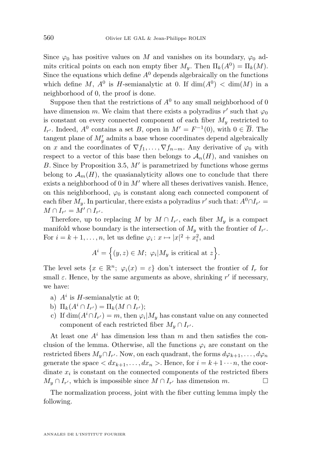<span id="page-18-0"></span>Since  $\varphi_0$  has positive values on M and vanishes on its boundary,  $\varphi_0$  admits critical points on each non empty fiber  $M_y$ . Then  $\Pi_k(A^0) = \Pi_k(M)$ . Since the equations which define  $A^0$  depends algebraically on the functions which define M,  $A^0$  is H-semianalytic at 0. If  $\dim(A^0) < \dim(M)$  in a neighborhood of 0, the proof is done.

Suppose then that the restrictions of  $A^0$  to any small neighborhood of 0 have dimension m. We claim that there exists a polyradius  $r'$  such that  $\varphi_0$ is constant on every connected component of each fiber  $M<sub>y</sub>$  restricted to  $I_{r'}$ . Indeed,  $A^0$  contains a set B, open in  $M' = F^{-1}(0)$ , with  $0 \in \overline{B}$ . The tangent plane of  $M'_y$  admits a base whose coordinates depend algebraically on x and the coordinates of  $\nabla f_1, \ldots, \nabla f_{n-m}$ . Any derivative of  $\varphi_0$  with respect to a vector of this base then belongs to  $\mathcal{A}_n(H)$ , and vanishes on B. Since by Proposition [3.5,](#page-16-0)  $M'$  is parametrized by functions whose germs belong to  $\mathcal{A}_m(H)$ , the quasianalyticity allows one to conclude that there exists a neighborhood of 0 in  $M'$  where all theses derivatives vanish. Hence, on this neighborhood,  $\varphi_0$  is constant along each connected component of each fiber  $M_y$ . In particular, there exists a polyradius r' such that:  $A^0 \cap I_{r'} =$  $M \cap I_{r'} = M' \cap I_{r'}.$ 

Therefore, up to replacing M by  $M \cap I_{r'}$ , each fiber  $M_y$  is a compact manifold whose boundary is the intersection of  $M_y$  with the frontier of  $I_{r'}$ . For  $i = k + 1, \ldots, n$ , let us define  $\varphi_i : x \mapsto |x|^2 + x_i^2$ , and

$$
A^{i} = \Big\{ (y, z) \in M; \ \varphi_{i} | M_{y} \text{ is critical at } z \Big\}.
$$

The level sets  $\{x \in \mathbb{R}^n; \varphi_i(x) = \varepsilon\}$  don't intersect the frontier of  $I_r$  for small  $\varepsilon$ . Hence, by the same arguments as above, shrinking r' if necessary, we have:

- a)  $A^i$  is H-semianalytic at 0;
- b)  $\Pi_k(A^i \cap I_{r'}) = \Pi_k(M \cap I_{r'});$
- c) If  $\dim(A^i \cap I_{r'}) = m$ , then  $\varphi_i | M_y$  has constant value on any connected component of each restricted fiber  $M_y \cap I_{r'}$ .

At least one  $A<sup>i</sup>$  has dimension less than m and then satisfies the conclusion of the lemma. Otherwise, all the functions  $\varphi_i$  are constant on the restricted fibers  $M_y \cap I_{r'}$ . Now, on each quadrant, the forms  $d\varphi_{k+1}, \ldots, d\varphi_n$ generate the space  $\langle dx_{k+1}, \ldots, dx_n \rangle$ . Hence, for  $i = k+1 \cdots n$ , the coordinate  $x_i$  is constant on the connected components of the restricted fibers  $M_y \cap I_{r'}$ , which is impossible since  $M \cap I_{r'}$  has dimension  $m$ .

The normalization process, joint with the fiber cutting lemma imply the following.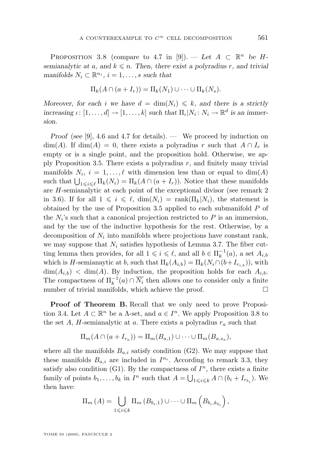PROPOSITION 3.8 (compare to 4.7 in [\[9\]](#page-20-0)). — Let  $A \subset \mathbb{R}^n$  be H*semianalytic at a, and*  $k \leq n$ . Then, there exist a polyradius r, and trivial *manifolds*  $N_i \subset \mathbb{R}^{n_i}$ ,  $i = 1, \ldots, s$  *such that* 

$$
\Pi_k(A \cap (a + I_r)) = \Pi_k(N_1) \cup \cdots \cup \Pi_k(N_s).
$$

*Moreover, for each i we have*  $d = \dim(N_i) \leq k$ *, and there is a strictly increasing*  $\iota : [1, \ldots, d] \to [1, \ldots, k]$  *such that*  $\Pi_{\iota} | N_i : N_i \to \mathbb{R}^d$  *is an immersion.*

*Proof* (see [\[9\]](#page-20-0), 4.6 and 4.7 for details)*. —* We proceed by induction on  $\dim(A)$ . If  $\dim(A) = 0$ , there exists a polyradius r such that  $A \cap I_r$  is empty or is a single point, and the proposition hold. Otherwise, we ap-ply Proposition [3.5.](#page-16-0) There exists a polyradius  $r$ , and finitely many trivial manifolds  $N_i$ ,  $i = 1, ..., \ell$  with dimension less than or equal to  $\dim(A)$ such that  $\bigcup_{1 \leq i \leq \ell} \Pi_k(N_i) = \Pi_k(A \cap (a + I_r))$ . Notice that these manifolds are H-semianalytic at each point of the exceptional divisor (see remark 2 in [3.6\)](#page-17-0). If for all  $1 \leq i \leq \ell$ ,  $\dim(N_i) = \text{rank}(\Pi_k|N_i)$ , the statement is obtained by the use of Proposition [3.5](#page-16-0) applied to each submanifold  $P$  of the  $N_i$ 's such that a canonical projection restricted to  $P$  is an immersion, and by the use of the inductive hypothesis for the rest. Otherwise, by a decomposition of  $N_i$  into manifolds where projections have constant rank, we may suppose that  $N_i$  satisfies hypothesis of Lemma [3.7.](#page-17-0) The fiber cutting lemma then provides, for all  $1 \leq i \leq \ell$ , and all  $b \in \Pi_k^{-1}(a)$ , a set  $A_{i,b}$ which is H-semianaytic at b, such that  $\Pi_k(A_{i,b}) = \Pi_k(N_i \cap (b+I_{r_{i,b}}))$ , with  $\dim(A_{i,b})$  <  $\dim(A)$ . By induction, the proposition holds for each  $A_{i,b}$ . The compactness of  $\Pi_k^{-1}(a) \cap \overline{N_i}$  then allows one to consider only a finite number of trivial manifolds, which achieve the proof.  $\Box$ 

**Proof of Theorem B.** Recall that we only need to prove Proposi-tion [3.4.](#page-16-0) Let  $A \subset \mathbb{R}^n$  be a  $\Lambda$ -set, and  $a \in I^n$ . We apply Proposition [3.8](#page-18-0) to the set A, H-semianalytic at a. There exists a polyradius  $r_a$  such that

$$
\Pi_m(A \cap (a + I_{r_a})) = \Pi_m(B_{a,1}) \cup \cdots \cup \Pi_m(B_{a,s_a}),
$$

where all the manifolds  $B_{a,i}$  satisfy condition (G2). We may suppose that these manifolds  $B_{a,i}$  are included in  $I^{n_i}$ . According to remark [3.3,](#page-15-0) they satisfy also condition (G1). By the compactness of  $I<sup>n</sup>$ , there exists a finite family of points  $b_1, \ldots, b_k$  in  $I^n$  such that  $A = \bigcup_{1 \leq i \leq k} A \cap (b_i + I_{r_{b_i}})$ . We then have:

$$
\Pi_m(A) = \bigcup_{1 \leq i \leq k} \Pi_m(B_{b_i,1}) \cup \cdots \cup \Pi_m(B_{b_i,k_{b_i}}),
$$

TOME 59 (2009), FASCICULE 2